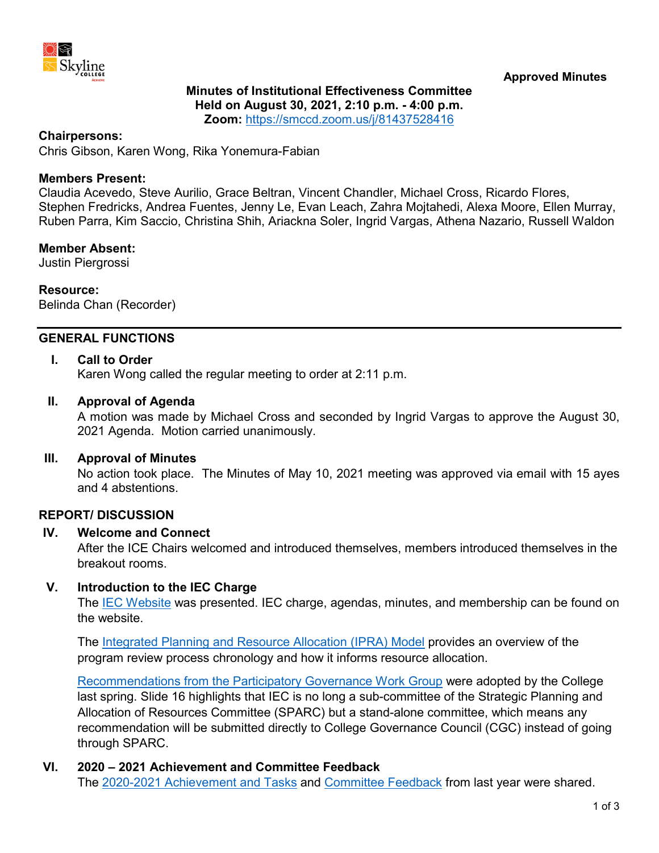

# **Minutes of Institutional Effectiveness Committee Held on August 30, 2021, 2:10 p.m. - 4:00 p.m.**

**Zoom:** <https://smccd.zoom.us/j/81437528416>

### **Chairpersons:**

Chris Gibson, Karen Wong, Rika Yonemura-Fabian

### **Members Present:**

Claudia Acevedo, Steve Aurilio, Grace Beltran, Vincent Chandler, Michael Cross, Ricardo Flores, Stephen Fredricks, Andrea Fuentes, Jenny Le, Evan Leach, Zahra Mojtahedi, Alexa Moore, Ellen Murray, Ruben Parra, Kim Saccio, Christina Shih, Ariackna Soler, Ingrid Vargas, Athena Nazario, Russell Waldon

#### **Member Absent:**

Justin Piergrossi

### **Resource:**

Belinda Chan (Recorder)

# **GENERAL FUNCTIONS**

### **I. Call to Order**

Karen Wong called the regular meeting to order at 2:11 p.m.

#### **II. Approval of Agenda**

A motion was made by Michael Cross and seconded by Ingrid Vargas to approve the August 30, 2021 Agenda. Motion carried unanimously.

#### **III. Approval of Minutes**

No action took place. The Minutes of May 10, 2021 meeting was approved via email with 15 ayes and 4 abstentions.

### **REPORT/ DISCUSSION**

### **IV. Welcome and Connect**

After the ICE Chairs welcomed and introduced themselves, members introduced themselves in the breakout rooms.

### **V. Introduction to the IEC Charge**

The [IEC Website](http://www.skylinecollege.edu/iec) was presented. IEC charge, agendas, minutes, and membership can be found on the website.

The [Integrated Planning and Resource Allocation \(IPRA\)](https://skylinecollege.edu/sparc/assets/documents/IPRACModel-20201028.pdf) Model provides an overview of the program review process chronology and how it informs resource allocation.

[Recommendations from the Participatory Governance Work Group](https://www.skylinecollege.edu/collegegovernancecouncil/assets/documents/agendasminutes/2020_2021/agendas/2021-0519%20Participatory%20Governance%20Work%20Group.pdf) were adopted by the College last spring. Slide 16 highlights that IEC is no long a sub-committee of the Strategic Planning and Allocation of Resources Committee (SPARC) but a stand-alone committee, which means any recommendation will be submitted directly to College Governance Council (CGC) instead of going through SPARC.

### **VI. 2020 – 2021 Achievement and Committee Feedback**

The [2020-2021 Achievement](https://www.skylinecollege.edu/iec/assets/agendas/2021-2022/IEC-Charge-Accomplishments.pdf) and Tasks and [Committee Feedback](https://www.skylinecollege.edu/iec/assets/agendas/2020-2021/IEC-Feedback-2020-21.pdf) from last year were shared.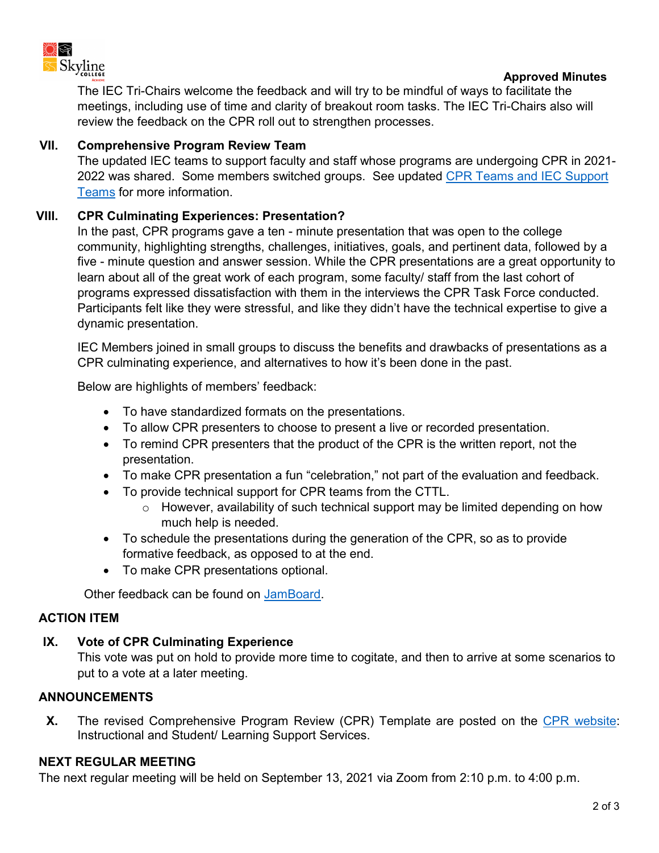

### **Approved Minutes**

The IEC Tri-Chairs welcome the feedback and will try to be mindful of ways to facilitate the meetings, including use of time and clarity of breakout room tasks. The IEC Tri-Chairs also will review the feedback on the CPR roll out to strengthen processes.

# **VII. Comprehensive Program Review Team**

The updated IEC teams to support faculty and staff whose programs are undergoing CPR in 2021- 2022 was shared. Some members switched groups. See updated CPR Teams and IEC Support [Teams](https://www.skylinecollege.edu/iec/assets/agendas/2021-2022/IEC-CPRTeams-2021-22.pdf) for more information.

# **VIII. CPR Culminating Experiences: Presentation?**

In the past, CPR programs gave a ten - minute presentation that was open to the college community, highlighting strengths, challenges, initiatives, goals, and pertinent data, followed by a five - minute question and answer session. While the CPR presentations are a great opportunity to learn about all of the great work of each program, some faculty/ staff from the last cohort of programs expressed dissatisfaction with them in the interviews the CPR Task Force conducted. Participants felt like they were stressful, and like they didn't have the technical expertise to give a dynamic presentation.

IEC Members joined in small groups to discuss the benefits and drawbacks of presentations as a CPR culminating experience, and alternatives to how it's been done in the past.

Below are highlights of members' feedback:

- To have standardized formats on the presentations.
- To allow CPR presenters to choose to present a live or recorded presentation.
- To remind CPR presenters that the product of the CPR is the written report, not the presentation.
- To make CPR presentation a fun "celebration," not part of the evaluation and feedback.
- To provide technical support for CPR teams from the CTTL.
	- $\circ$  However, availability of such technical support may be limited depending on how much help is needed.
- To schedule the presentations during the generation of the CPR, so as to provide formative feedback, as opposed to at the end.
- To make CPR presentations optional.

Other feedback can be found on [JamBoard.](https://www.skylinecollege.edu/iec/assets/agendas/2021-2022/IEC-JamBoard-PresentationFeedback.pdf)

# **ACTION ITEM**

# **IX. Vote of CPR Culminating Experience**

This vote was put on hold to provide more time to cogitate, and then to arrive at some scenarios to put to a vote at a later meeting.

# **ANNOUNCEMENTS**

**X.** The revised Comprehensive Program Review (CPR) Template are posted on the CPR [website:](https://www.skylinecollege.edu/programreview/cpr.php) Instructional and Student/ Learning Support Services.

# **NEXT REGULAR MEETING**

The next regular meeting will be held on September 13, 2021 via Zoom from 2:10 p.m. to 4:00 p.m.